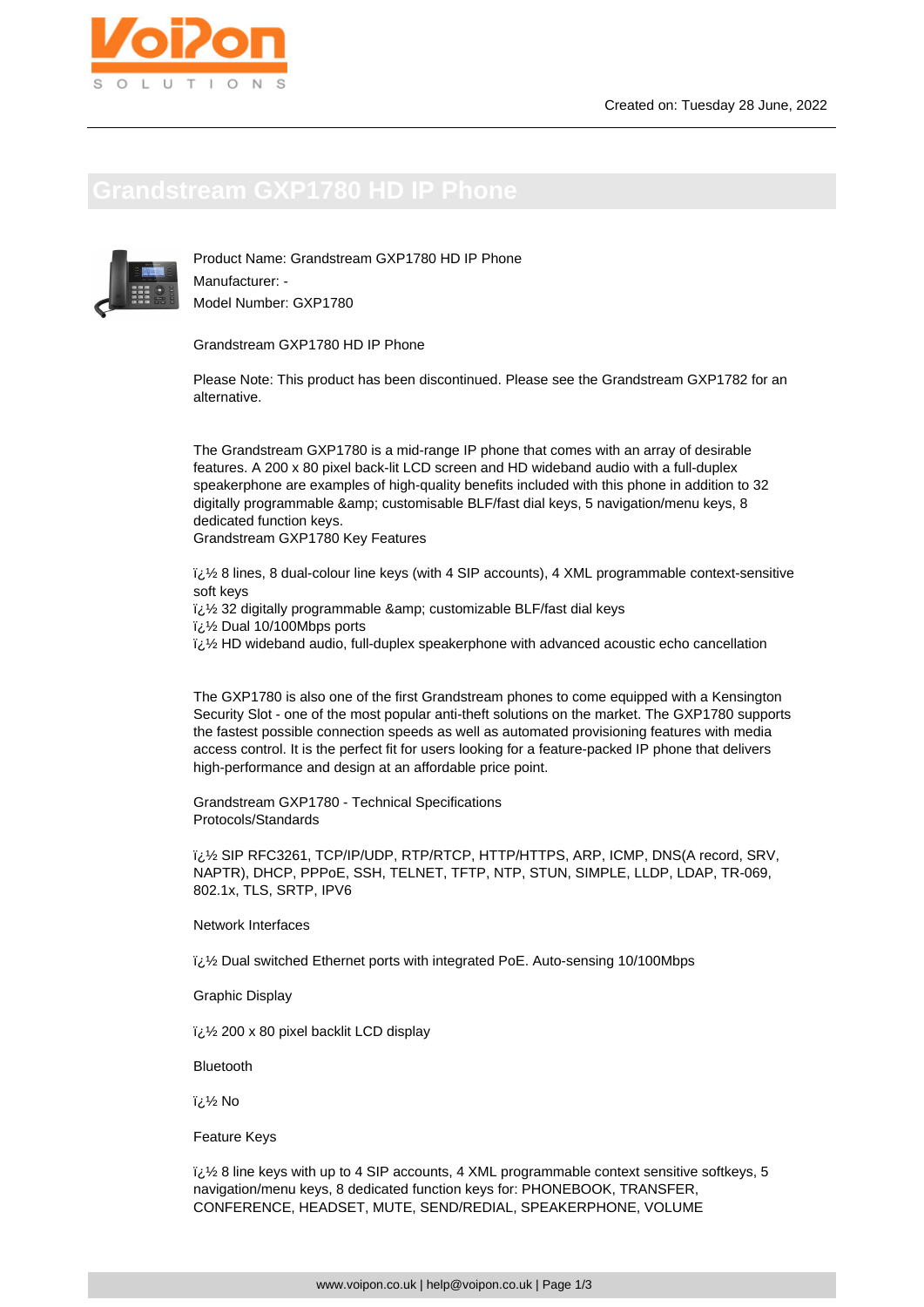

Product Name: Grandstream GXP1780 HD IP Phone Manufacturer: - Model Number: GXP1780

Grandstream GXP1780 HD IP Phone

Please Note: This product has been discontinued. Please see the Grandstream GXP1782 for an alternative.

The Grandstream GXP1780 is a mid-range IP phone that comes with an array of desirable features. A 200 x 80 pixel back-lit LCD screen and HD wideband audio with a full-duplex speakerphone are examples of high-quality benefits included with this phone in addition to 32 digitally programmable & amp; customisable BLF/fast dial keys, 5 navigation/menu keys, 8 dedicated function keys.

Grandstream GXP1780 Key Features

 $i,j'$  8 lines, 8 dual-colour line keys (with 4 SIP accounts), 4 XML programmable context-sensitive soft keys

i¿1/2 32 digitally programmable & amp; customizable BLF/fast dial keys

 $\frac{1}{2}$ /<sub>2</sub> Dual 10/100Mbps ports

 $i\hslash$  HD wideband audio, full-duplex speakerphone with advanced acoustic echo cancellation

The GXP1780 is also one of the first Grandstream phones to come equipped with a Kensington Security Slot - one of the most popular anti-theft solutions on the market. The GXP1780 supports the fastest possible connection speeds as well as automated provisioning features with media access control. It is the perfect fit for users looking for a feature-packed IP phone that delivers high-performance and design at an affordable price point.

Grandstream GXP1780 - Technical Specifications Protocols/Standards

� SIP RFC3261, TCP/IP/UDP, RTP/RTCP, HTTP/HTTPS, ARP, ICMP, DNS(A record, SRV, NAPTR), DHCP, PPPoE, SSH, TELNET, TFTP, NTP, STUN, SIMPLE, LLDP, LDAP, TR-069, 802.1x, TLS, SRTP, IPV6

Network Interfaces

لَائِ Dual switched Ethernet ports with integrated PoE. Auto-sensing 10/100Mbps

Graphic Display

� 200 x 80 pixel backlit LCD display

Bluetooth

 $i/2$  No

Feature Keys

 $\frac{7}{2}$  8 line keys with up to 4 SIP accounts, 4 XML programmable context sensitive softkeys, 5 navigation/menu keys, 8 dedicated function keys for: PHONEBOOK, TRANSFER, CONFERENCE, HEADSET, MUTE, SEND/REDIAL, SPEAKERPHONE, VOLUME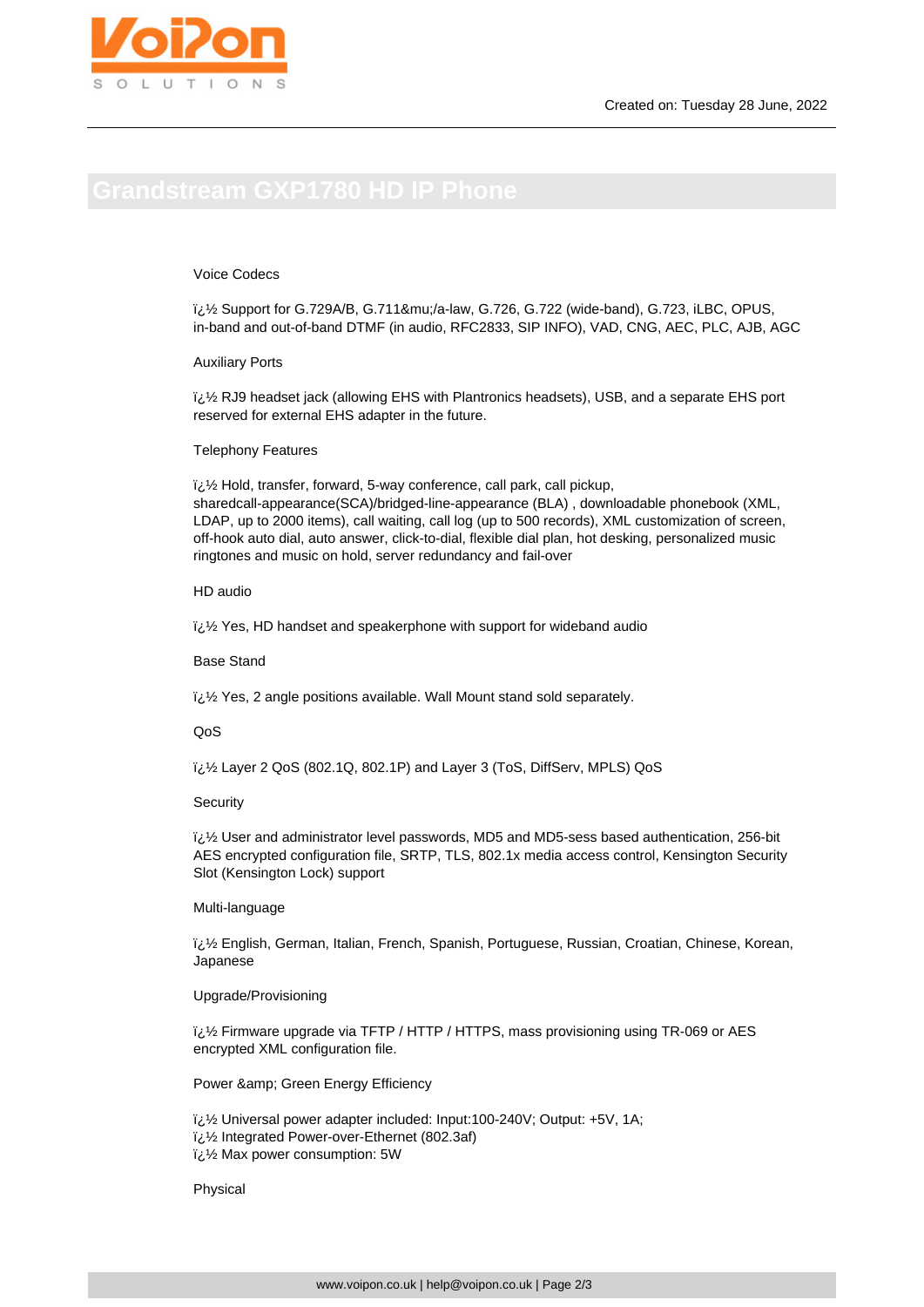### Voice Codecs

 $i/2$  Support for G.729A/B, G.711μ/a-law, G.726, G.722 (wide-band), G.723, iLBC, OPUS, in-band and out-of-band DTMF (in audio, RFC2833, SIP INFO), VAD, CNG, AEC, PLC, AJB, AGC

#### Auxiliary Ports

 $\frac{7}{2}$  RJ9 headset jack (allowing EHS with Plantronics headsets), USB, and a separate EHS port reserved for external EHS adapter in the future.

#### Telephony Features

 $\frac{1}{2}$ ط/2 Hold, transfer, forward, 5-way conference, call park, call pickup, sharedcall-appearance(SCA)/bridged-line-appearance (BLA) , downloadable phonebook (XML, LDAP, up to 2000 items), call waiting, call log (up to 500 records), XML customization of screen, off-hook auto dial, auto answer, click-to-dial, flexible dial plan, hot desking, personalized music ringtones and music on hold, server redundancy and fail-over

## HD audio

 $\frac{1}{2}$ % Yes, HD handset and speakerphone with support for wideband audio

#### Base Stand

 $i,j$ 2 Yes, 2 angle positions available. Wall Mount stand sold separately.

### QoS

� Layer 2 QoS (802.1Q, 802.1P) and Layer 3 (ToS, DiffServ, MPLS) QoS

#### **Security**

� User and administrator level passwords, MD5 and MD5-sess based authentication, 256-bit AES encrypted configuration file, SRTP, TLS, 802.1x media access control, Kensington Security Slot (Kensington Lock) support

#### Multi-language

 $i,j$  English, German, Italian, French, Spanish, Portuguese, Russian, Croatian, Chinese, Korean, Japanese

### Upgrade/Provisioning

 $i\mathcal{E}/2$  Firmware upgrade via TFTP / HTTP / HTTPS, mass provisioning using TR-069 or AES encrypted XML configuration file.

Power & amp; Green Energy Efficiency

لَائ<sup>T</sup>/2 Universal power adapter included: Input:100-240V; Output: +5V, 1A; � Integrated Power-over-Ethernet (802.3af)  $\frac{1}{2}$ ن Max power consumption: 5W

Physical